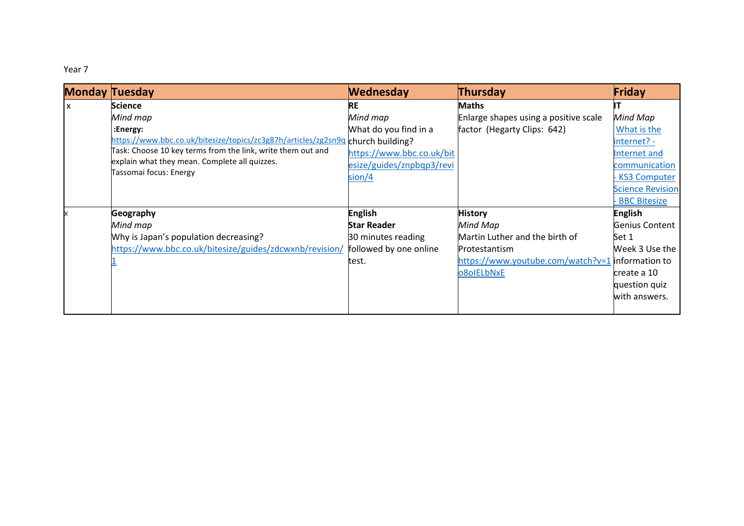Year 7

| <b>Monday Tuesday</b> |                                                                                                                                        | <b>Wednesday</b>          | Thursday                                         | Friday                  |
|-----------------------|----------------------------------------------------------------------------------------------------------------------------------------|---------------------------|--------------------------------------------------|-------------------------|
| $\mathsf{x}$          | <b>Science</b>                                                                                                                         | RE                        | <b>Maths</b>                                     |                         |
|                       | Mind map                                                                                                                               | Mind map                  | Enlarge shapes using a positive scale            | Mind Map                |
|                       | :Energy:                                                                                                                               | What do you find in a     | factor (Hegarty Clips: 642)                      | What is the             |
|                       | https://www.bbc.co.uk/bitesize/topics/zc3g87h/articles/zg2sn9q church building?                                                        |                           |                                                  | internet? -             |
|                       | Task: Choose 10 key terms from the link, write them out and<br>explain what they mean. Complete all quizzes.<br>Tassomai focus: Energy | https://www.bbc.co.uk/bit |                                                  | Internet and            |
|                       |                                                                                                                                        | esize/guides/znpbqp3/revi |                                                  | communication           |
|                       |                                                                                                                                        | sion/4                    |                                                  | <b>KS3 Computer</b>     |
|                       |                                                                                                                                        |                           |                                                  | <b>Science Revision</b> |
|                       |                                                                                                                                        |                           |                                                  | <b>BBC Bitesize</b>     |
|                       | Geography                                                                                                                              | <b>English</b>            | <b>History</b>                                   | <b>English</b>          |
|                       | Mind map                                                                                                                               | <b>Star Reader</b>        | Mind Map                                         | Genius Content          |
|                       | Why is Japan's population decreasing?                                                                                                  | 30 minutes reading        | Martin Luther and the birth of                   | Set 1                   |
|                       | https://www.bbc.co.uk/bitesize/guides/zdcwxnb/revision/                                                                                | followed by one online    | Protestantism                                    | Week 3 Use the          |
|                       |                                                                                                                                        | test.                     | https://www.youtube.com/watch?v=1 information to |                         |
|                       |                                                                                                                                        |                           | o8oIELbNxE                                       | create a 10             |
|                       |                                                                                                                                        |                           |                                                  | question quiz           |
|                       |                                                                                                                                        |                           |                                                  | with answers.           |
|                       |                                                                                                                                        |                           |                                                  |                         |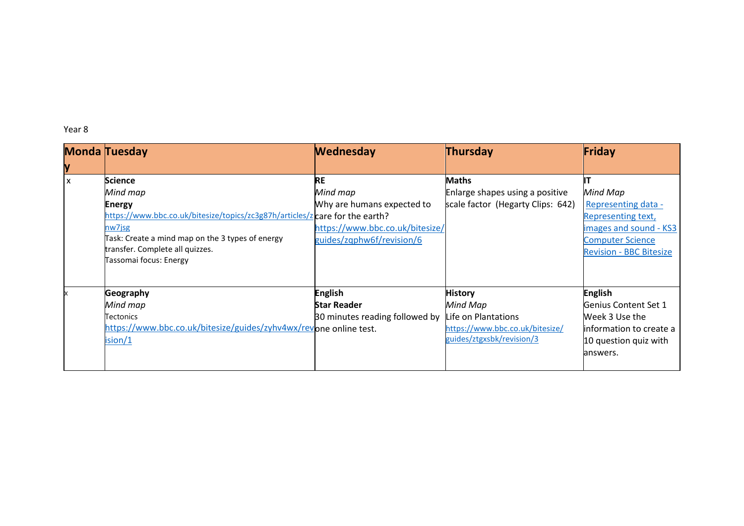Year 8

|                           | <b>Monda Tuesday</b>                                                                                                                                                                                                                                   | <b>Wednesday</b>                                                                                                    | Thursday                                                                                                          | Friday                                                                                                                                       |
|---------------------------|--------------------------------------------------------------------------------------------------------------------------------------------------------------------------------------------------------------------------------------------------------|---------------------------------------------------------------------------------------------------------------------|-------------------------------------------------------------------------------------------------------------------|----------------------------------------------------------------------------------------------------------------------------------------------|
| y                         |                                                                                                                                                                                                                                                        |                                                                                                                     |                                                                                                                   |                                                                                                                                              |
| $\boldsymbol{\mathsf{x}}$ | <b>Science</b><br>Mind map<br><b>Energy</b><br>https://www.bbc.co.uk/bitesize/topics/zc3g87h/articles/z care for the earth?<br>nw7jsg<br>Task: Create a mind map on the 3 types of energy<br>transfer. Complete all quizzes.<br>Tassomai focus: Energy | <b>RE</b><br>Mind map<br>Why are humans expected to<br>https://www.bbc.co.uk/bitesize/<br>guides/zqphw6f/revision/6 | <b>Maths</b><br>Enlarge shapes using a positive<br>scale factor (Hegarty Clips: 642)                              | Mind Map<br>Representing data -<br>Representing text,<br>images and sound - KS3<br><b>Computer Science</b><br><b>Revision - BBC Bitesize</b> |
|                           | Geography<br>Mind map<br>Tectonics<br>https://www.bbc.co.uk/bitesize/guides/zyhv4wx/revone online test.<br>ision/1                                                                                                                                     | <b>English</b><br><b>Star Reader</b><br>30 minutes reading followed by                                              | <b>History</b><br>Mind Map<br>Life on Plantations<br>https://www.bbc.co.uk/bitesize/<br>guides/ztgxsbk/revision/3 | <b>English</b><br>Genius Content Set 1<br>Week 3 Use the<br>information to create a<br>10 question quiz with<br>answers.                     |